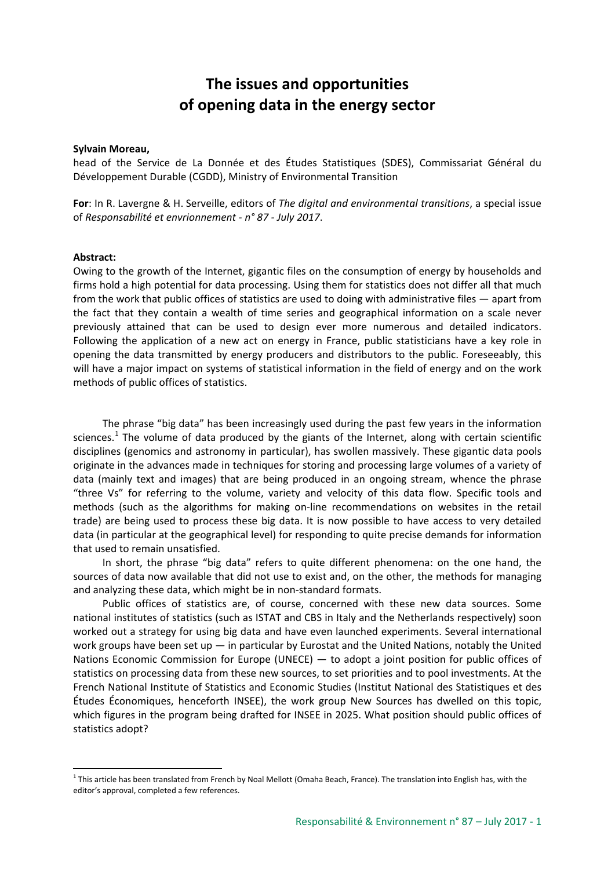# **The issues and opportunities of opening data in the energy sector**

#### **Sylvain Moreau,**

head of the Service de La Donnée et des Études Statistiques (SDES), Commissariat Général du Développement Durable (CGDD), Ministry of Environmental Transition

**For**: In R. Lavergne & H. Serveille, editors of *The digital and environmental transitions*, a special issue of *Responsabilité et envrionnement - n° 87 - July 2017*.

#### **Abstract:**

Owing to the growth of the Internet, gigantic files on the consumption of energy by households and firms hold a high potential for data processing. Using them for statistics does not differ all that much from the work that public offices of statistics are used to doing with administrative files — apart from the fact that they contain a wealth of time series and geographical information on a scale never previously attained that can be used to design ever more numerous and detailed indicators. Following the application of a new act on energy in France, public statisticians have a key role in opening the data transmitted by energy producers and distributors to the public. Foreseeably, this will have a major impact on systems of statistical information in the field of energy and on the work methods of public offices of statistics.

The phrase "big data" has been increasingly used during the past few years in the information sciences.<sup>[1](#page-0-0)</sup> The volume of data produced by the giants of the Internet, along with certain scientific disciplines (genomics and astronomy in particular), has swollen massively. These gigantic data pools originate in the advances made in techniques for storing and processing large volumes of a variety of data (mainly text and images) that are being produced in an ongoing stream, whence the phrase "three Vs" for referring to the volume, variety and velocity of this data flow. Specific tools and methods (such as the algorithms for making on-line recommendations on websites in the retail trade) are being used to process these big data. It is now possible to have access to very detailed data (in particular at the geographical level) for responding to quite precise demands for information that used to remain unsatisfied.

In short, the phrase "big data" refers to quite different phenomena: on the one hand, the sources of data now available that did not use to exist and, on the other, the methods for managing and analyzing these data, which might be in non-standard formats.

Public offices of statistics are, of course, concerned with these new data sources. Some national institutes of statistics (such as ISTAT and CBS in Italy and the Netherlands respectively) soon worked out a strategy for using big data and have even launched experiments. Several international work groups have been set up  $-$  in particular by Eurostat and the United Nations, notably the United Nations Economic Commission for Europe (UNECE) — to adopt a joint position for public offices of statistics on processing data from these new sources, to set priorities and to pool investments. At the French National Institute of Statistics and Economic Studies (Institut National des Statistiques et des Études Économiques, henceforth INSEE), the work group New Sources has dwelled on this topic, which figures in the program being drafted for INSEE in 2025. What position should public offices of statistics adopt?

<span id="page-0-0"></span> $1$  This article has been translated from French by Noal Mellott (Omaha Beach, France). The translation into English has, with the editor's approval, completed a few references.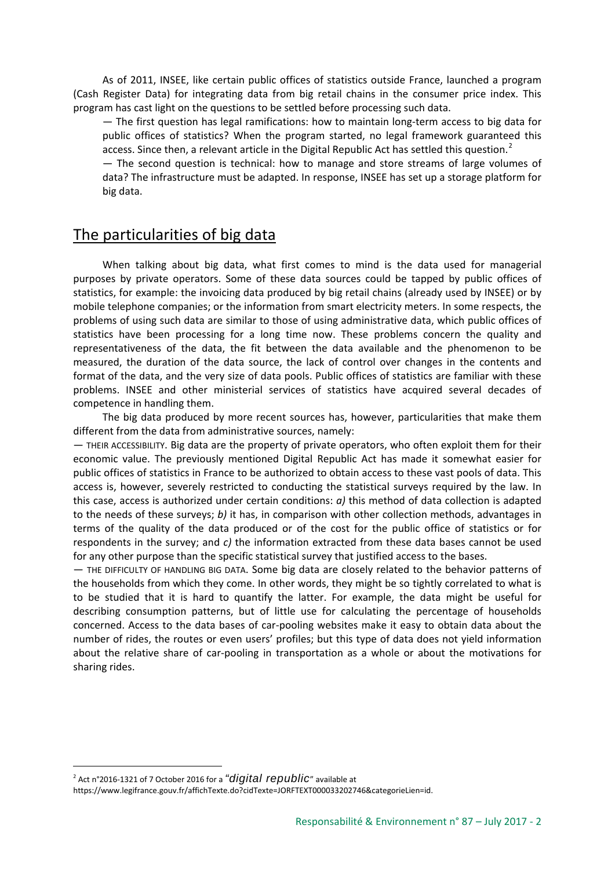As of 2011, INSEE, like certain public offices of statistics outside France, launched a program (Cash Register Data) for integrating data from big retail chains in the consumer price index. This program has cast light on the questions to be settled before processing such data.

— The first question has legal ramifications: how to maintain long-term access to big data for public offices of statistics? When the program started, no legal framework guaranteed this access. Since then, a relevant article in the Digital Republic Act has settled this question.<sup>[2](#page-1-0)</sup>

— The second question is technical: how to manage and store streams of large volumes of data? The infrastructure must be adapted. In response, INSEE has set up a storage platform for big data.

## The particularities of big data

When talking about big data, what first comes to mind is the data used for managerial purposes by private operators. Some of these data sources could be tapped by public offices of statistics, for example: the invoicing data produced by big retail chains (already used by INSEE) or by mobile telephone companies; or the information from smart electricity meters. In some respects, the problems of using such data are similar to those of using administrative data, which public offices of statistics have been processing for a long time now. These problems concern the quality and representativeness of the data, the fit between the data available and the phenomenon to be measured, the duration of the data source, the lack of control over changes in the contents and format of the data, and the very size of data pools. Public offices of statistics are familiar with these problems. INSEE and other ministerial services of statistics have acquired several decades of competence in handling them.

The big data produced by more recent sources has, however, particularities that make them different from the data from administrative sources, namely:

— THEIR ACCESSIBILITY. Big data are the property of private operators, who often exploit them for their economic value. The previously mentioned Digital Republic Act has made it somewhat easier for public offices of statistics in France to be authorized to obtain access to these vast pools of data. This access is, however, severely restricted to conducting the statistical surveys required by the law. In this case, access is authorized under certain conditions: *a)* this method of data collection is adapted to the needs of these surveys; *b)* it has, in comparison with other collection methods, advantages in terms of the quality of the data produced or of the cost for the public office of statistics or for respondents in the survey; and *c)* the information extracted from these data bases cannot be used for any other purpose than the specific statistical survey that justified access to the bases.

— THE DIFFICULTY OF HANDLING BIG DATA. Some big data are closely related to the behavior patterns of the households from which they come. In other words, they might be so tightly correlated to what is to be studied that it is hard to quantify the latter. For example, the data might be useful for describing consumption patterns, but of little use for calculating the percentage of households concerned. Access to the data bases of car-pooling websites make it easy to obtain data about the number of rides, the routes or even users' profiles; but this type of data does not yield information about the relative share of car-pooling in transportation as a whole or about the motivations for sharing rides.

-

<span id="page-1-0"></span><sup>2</sup> Act n°2016-1321 of 7 October 2016 for a *"digital republic*" available at

https://www.legifrance.gouv.fr/affichTexte.do?cidTexte=JORFTEXT000033202746&categorieLien=id.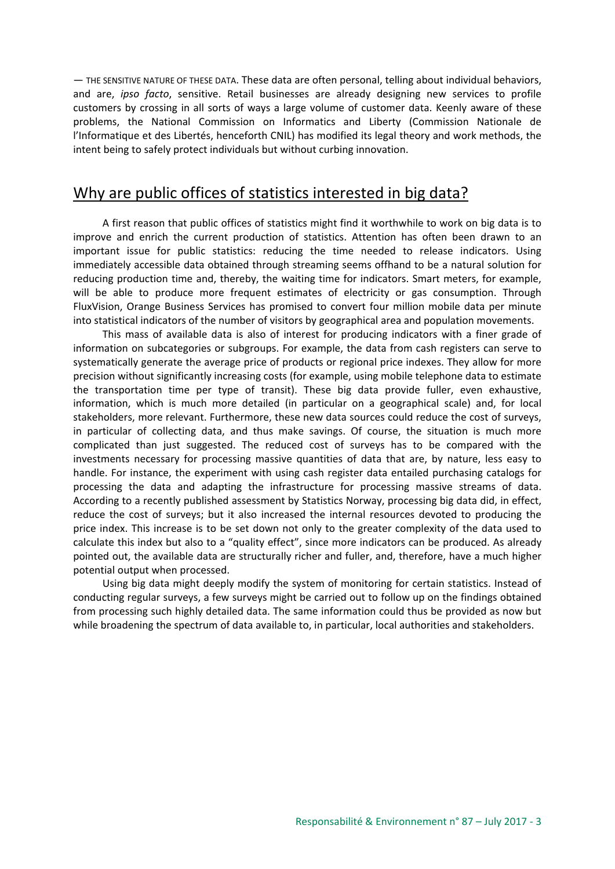— THE SENSITIVE NATURE OF THESE DATA. These data are often personal, telling about individual behaviors, and are, *ipso facto*, sensitive. Retail businesses are already designing new services to profile customers by crossing in all sorts of ways a large volume of customer data. Keenly aware of these problems, the National Commission on Informatics and Liberty (Commission Nationale de l'Informatique et des Libertés, henceforth CNIL) has modified its legal theory and work methods, the intent being to safely protect individuals but without curbing innovation.

### Why are public offices of statistics interested in big data?

A first reason that public offices of statistics might find it worthwhile to work on big data is to improve and enrich the current production of statistics. Attention has often been drawn to an important issue for public statistics: reducing the time needed to release indicators. Using immediately accessible data obtained through streaming seems offhand to be a natural solution for reducing production time and, thereby, the waiting time for indicators. Smart meters, for example, will be able to produce more frequent estimates of electricity or gas consumption. Through FluxVision, Orange Business Services has promised to convert four million mobile data per minute into statistical indicators of the number of visitors by geographical area and population movements.

This mass of available data is also of interest for producing indicators with a finer grade of information on subcategories or subgroups. For example, the data from cash registers can serve to systematically generate the average price of products or regional price indexes. They allow for more precision without significantly increasing costs (for example, using mobile telephone data to estimate the transportation time per type of transit). These big data provide fuller, even exhaustive, information, which is much more detailed (in particular on a geographical scale) and, for local stakeholders, more relevant. Furthermore, these new data sources could reduce the cost of surveys, in particular of collecting data, and thus make savings. Of course, the situation is much more complicated than just suggested. The reduced cost of surveys has to be compared with the investments necessary for processing massive quantities of data that are, by nature, less easy to handle. For instance, the experiment with using cash register data entailed purchasing catalogs for processing the data and adapting the infrastructure for processing massive streams of data. According to a recently published assessment by Statistics Norway, processing big data did, in effect, reduce the cost of surveys; but it also increased the internal resources devoted to producing the price index. This increase is to be set down not only to the greater complexity of the data used to calculate this index but also to a "quality effect", since more indicators can be produced. As already pointed out, the available data are structurally richer and fuller, and, therefore, have a much higher potential output when processed.

Using big data might deeply modify the system of monitoring for certain statistics. Instead of conducting regular surveys, a few surveys might be carried out to follow up on the findings obtained from processing such highly detailed data. The same information could thus be provided as now but while broadening the spectrum of data available to, in particular, local authorities and stakeholders.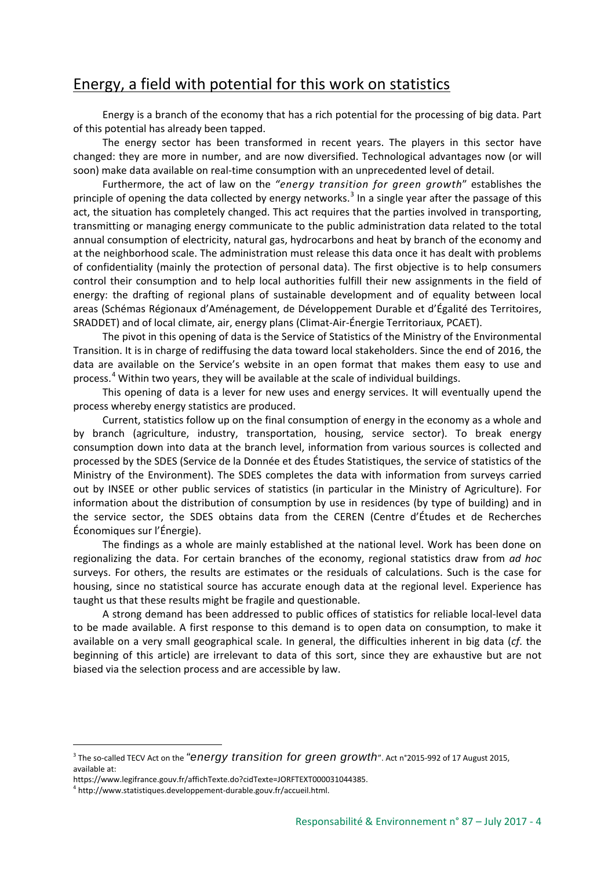## Energy, a field with potential for this work on statistics

Energy is a branch of the economy that has a rich potential for the processing of big data. Part of this potential has already been tapped.

The energy sector has been transformed in recent years. The players in this sector have changed: they are more in number, and are now diversified. Technological advantages now (or will soon) make data available on real-time consumption with an unprecedented level of detail.

Furthermore, the act of law on the *"energy transition for green growth*" establishes the principle of opening the data collected by energy networks.<sup>[3](#page-3-0)</sup> In a single year after the passage of this act, the situation has completely changed. This act requires that the parties involved in transporting, transmitting or managing energy communicate to the public administration data related to the total annual consumption of electricity, natural gas, hydrocarbons and heat by branch of the economy and at the neighborhood scale. The administration must release this data once it has dealt with problems of confidentiality (mainly the protection of personal data). The first objective is to help consumers control their consumption and to help local authorities fulfill their new assignments in the field of energy: the drafting of regional plans of sustainable development and of equality between local areas (Schémas Régionaux d'Aménagement, de Développement Durable et d'Égalité des Territoires, SRADDET) and of local climate, air, energy plans (Climat-Air-Énergie Territoriaux, PCAET).

The pivot in this opening of data is the Service of Statistics of the Ministry of the Environmental Transition. It is in charge of rediffusing the data toward local stakeholders. Since the end of 2016, the data are available on the Service's website in an open format that makes them easy to use and process.[4](#page-3-1) Within two years, they will be available at the scale of individual buildings.

This opening of data is a lever for new uses and energy services. It will eventually upend the process whereby energy statistics are produced.

Current, statistics follow up on the final consumption of energy in the economy as a whole and by branch (agriculture, industry, transportation, housing, service sector). To break energy consumption down into data at the branch level, information from various sources is collected and processed by the SDES (Service de la Donnée et des Études Statistiques, the service of statistics of the Ministry of the Environment). The SDES completes the data with information from surveys carried out by INSEE or other public services of statistics (in particular in the Ministry of Agriculture). For information about the distribution of consumption by use in residences (by type of building) and in the service sector, the SDES obtains data from the CEREN (Centre d'Études et de Recherches Économiques sur l'Énergie).

The findings as a whole are mainly established at the national level. Work has been done on regionalizing the data. For certain branches of the economy, regional statistics draw from *ad hoc* surveys. For others, the results are estimates or the residuals of calculations. Such is the case for housing, since no statistical source has accurate enough data at the regional level. Experience has taught us that these results might be fragile and questionable.

A strong demand has been addressed to public offices of statistics for reliable local-level data to be made available. A first response to this demand is to open data on consumption, to make it available on a very small geographical scale. In general, the difficulties inherent in big data (*cf*. the beginning of this article) are irrelevant to data of this sort, since they are exhaustive but are not biased via the selection process and are accessible by law.

<u>.</u>

<span id="page-3-0"></span><sup>3</sup> The so-called TECV Act on the *"energy transition for green growth*". Act n°2015-992 of 17 August 2015, available at:

https://www.legifrance.gouv.fr/affichTexte.do?cidTexte=JORFTEXT000031044385.

<span id="page-3-1"></span><sup>4</sup> http://www.statistiques.developpement-durable.gouv.fr/accueil.html.